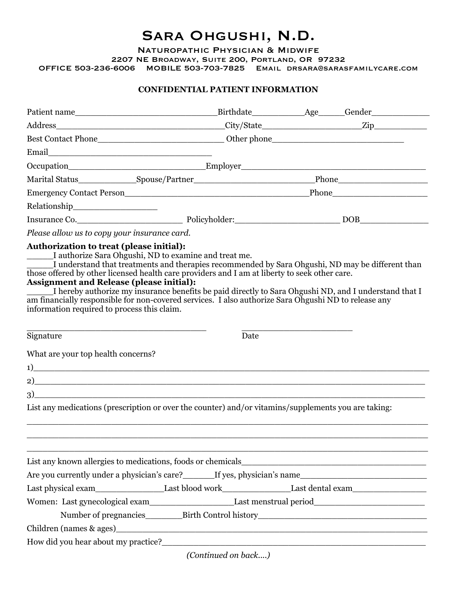# Sara Ohgushi, N.D.

Naturopathic Physician & Midwife

2207 NE Broadway, Suite 200, Portland, OR 97232

OFFICE 503-236-6006 MOBILE 503-703-7825 Email drsara@sarasfamilycare.com

#### **CONFIDENTIAL PATIENT INFORMATION**

| Email                                                                                                                                                                                                                                                                                                                                                                                                                                                                                                                |                                                                                   |      |  |  |
|----------------------------------------------------------------------------------------------------------------------------------------------------------------------------------------------------------------------------------------------------------------------------------------------------------------------------------------------------------------------------------------------------------------------------------------------------------------------------------------------------------------------|-----------------------------------------------------------------------------------|------|--|--|
|                                                                                                                                                                                                                                                                                                                                                                                                                                                                                                                      |                                                                                   |      |  |  |
|                                                                                                                                                                                                                                                                                                                                                                                                                                                                                                                      |                                                                                   |      |  |  |
|                                                                                                                                                                                                                                                                                                                                                                                                                                                                                                                      |                                                                                   |      |  |  |
|                                                                                                                                                                                                                                                                                                                                                                                                                                                                                                                      |                                                                                   |      |  |  |
|                                                                                                                                                                                                                                                                                                                                                                                                                                                                                                                      |                                                                                   |      |  |  |
| Please allow us to copy your insurance card.                                                                                                                                                                                                                                                                                                                                                                                                                                                                         |                                                                                   |      |  |  |
| I understand that treatments and therapies recommended by Sara Ohgushi, ND may be different than<br>those offered by other licensed health care providers and I am at liberty to seek other care.<br><b>Assignment and Release (please initial):</b><br>I hereby authorize my insurance benefits be paid directly to Sara Ohgushi ND, and I understand that I<br>am financially responsible for non-covered services. I also authorize Sara Ohgushi ND to release any<br>information required to process this claim. |                                                                                   |      |  |  |
| Signature                                                                                                                                                                                                                                                                                                                                                                                                                                                                                                            |                                                                                   | Date |  |  |
| What are your top health concerns?                                                                                                                                                                                                                                                                                                                                                                                                                                                                                   |                                                                                   |      |  |  |
| $\overline{1}$ $\overline{1}$ $\overline{1}$ $\overline{1}$ $\overline{1}$ $\overline{1}$ $\overline{1}$ $\overline{1}$ $\overline{1}$ $\overline{1}$ $\overline{1}$ $\overline{1}$ $\overline{1}$ $\overline{1}$ $\overline{1}$ $\overline{1}$ $\overline{1}$ $\overline{1}$ $\overline{1}$ $\overline{1}$ $\overline{1}$ $\overline{1}$ $\overline{1}$ $\overline{1}$ $\overline{$                                                                                                                                 |                                                                                   |      |  |  |
|                                                                                                                                                                                                                                                                                                                                                                                                                                                                                                                      |                                                                                   |      |  |  |
|                                                                                                                                                                                                                                                                                                                                                                                                                                                                                                                      |                                                                                   |      |  |  |
| List any medications (prescription or over the counter) and/or vitamins/supplements you are taking:                                                                                                                                                                                                                                                                                                                                                                                                                  |                                                                                   |      |  |  |
|                                                                                                                                                                                                                                                                                                                                                                                                                                                                                                                      |                                                                                   |      |  |  |
| Are you currently under a physician's care?________If yes, physician's name___________________________________                                                                                                                                                                                                                                                                                                                                                                                                       |                                                                                   |      |  |  |
|                                                                                                                                                                                                                                                                                                                                                                                                                                                                                                                      |                                                                                   |      |  |  |
| Women: Last gynecological exam Last menstrual period_____________________________                                                                                                                                                                                                                                                                                                                                                                                                                                    | Number of pregnancies____________Birth Control history___________________________ |      |  |  |
|                                                                                                                                                                                                                                                                                                                                                                                                                                                                                                                      |                                                                                   |      |  |  |
|                                                                                                                                                                                                                                                                                                                                                                                                                                                                                                                      |                                                                                   |      |  |  |

*(Continued on back....)*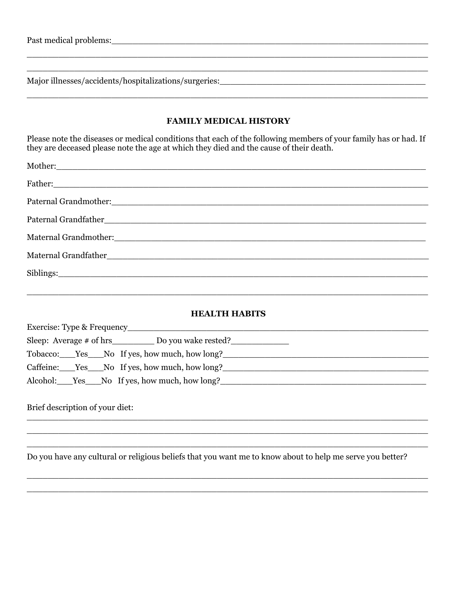#### **FAMILY MEDICAL HISTORY**

Please note the diseases or medical conditions that each of the following members of your family has or had. If they are deceased please note the age at which they died and the cause of their death.

#### **HEALTH HABITS**

| Exercise: Type & Frequency                                                       |  |  |  |  |
|----------------------------------------------------------------------------------|--|--|--|--|
| Sleep: Average # of hrs________________ Do you wake rested?_____________________ |  |  |  |  |
| Tobacco: Yes No If yes, how much, how long?                                      |  |  |  |  |
| Caffeine: Yes No If yes, how much, how long?                                     |  |  |  |  |
| Alcohol: Yes No If yes, how much, how long?                                      |  |  |  |  |

Brief description of your diet:

Do you have any cultural or religious beliefs that you want me to know about to help me serve you better?